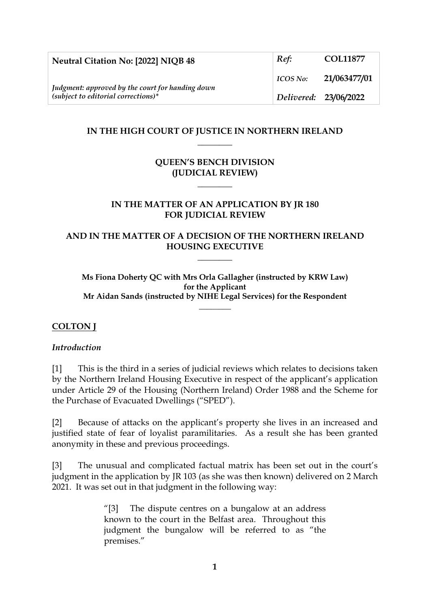| Neutral Citation No: [2022] NIQB 48                                                       | Ref:                  | <b>COL11877</b> |
|-------------------------------------------------------------------------------------------|-----------------------|-----------------|
|                                                                                           | <b>ICOS No:</b>       | 21/063477/01    |
| Judgment: approved by the court for handing down<br>$(subject to editorial corrections)*$ | Delivered: 23/06/2022 |                 |

### **IN THE HIGH COURT OF JUSTICE IN NORTHERN IRELAND \_\_\_\_\_\_\_\_**

# **QUEEN'S BENCH DIVISION (JUDICIAL REVIEW)**

**\_\_\_\_\_\_\_\_**

#### **IN THE MATTER OF AN APPLICATION BY JR 180 FOR JUDICIAL REVIEW**

### **AND IN THE MATTER OF A DECISION OF THE NORTHERN IRELAND HOUSING EXECUTIVE**

**\_\_\_\_\_\_\_\_**

**Ms Fiona Doherty QC with Mrs Orla Gallagher (instructed by KRW Law) for the Applicant Mr Aidan Sands (instructed by NIHE Legal Services) for the Respondent**

**\_\_\_\_\_\_\_\_**

## **COLTON J**

#### *Introduction*

[1] This is the third in a series of judicial reviews which relates to decisions taken by the Northern Ireland Housing Executive in respect of the applicant's application under Article 29 of the Housing (Northern Ireland) Order 1988 and the Scheme for the Purchase of Evacuated Dwellings ("SPED").

[2] Because of attacks on the applicant's property she lives in an increased and justified state of fear of loyalist paramilitaries. As a result she has been granted anonymity in these and previous proceedings.

[3] The unusual and complicated factual matrix has been set out in the court's judgment in the application by JR 103 (as she was then known) delivered on 2 March 2021. It was set out in that judgment in the following way:

> "[3] The dispute centres on a bungalow at an address known to the court in the Belfast area. Throughout this judgment the bungalow will be referred to as "the premises."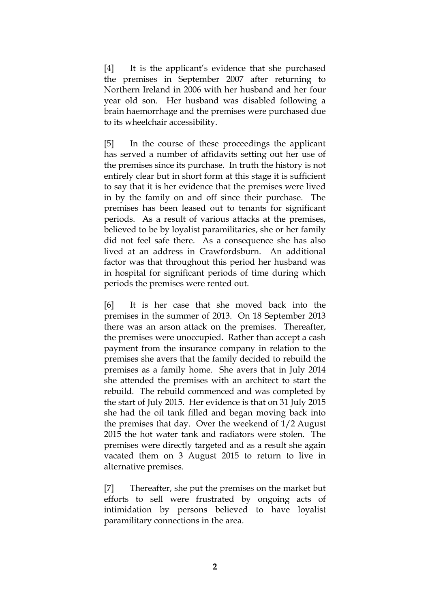[4] It is the applicant's evidence that she purchased the premises in September 2007 after returning to Northern Ireland in 2006 with her husband and her four year old son. Her husband was disabled following a brain haemorrhage and the premises were purchased due to its wheelchair accessibility.

[5] In the course of these proceedings the applicant has served a number of affidavits setting out her use of the premises since its purchase. In truth the history is not entirely clear but in short form at this stage it is sufficient to say that it is her evidence that the premises were lived in by the family on and off since their purchase. The premises has been leased out to tenants for significant periods. As a result of various attacks at the premises, believed to be by loyalist paramilitaries, she or her family did not feel safe there. As a consequence she has also lived at an address in Crawfordsburn. An additional factor was that throughout this period her husband was in hospital for significant periods of time during which periods the premises were rented out.

[6] It is her case that she moved back into the premises in the summer of 2013. On 18 September 2013 there was an arson attack on the premises. Thereafter, the premises were unoccupied. Rather than accept a cash payment from the insurance company in relation to the premises she avers that the family decided to rebuild the premises as a family home. She avers that in July 2014 she attended the premises with an architect to start the rebuild. The rebuild commenced and was completed by the start of July 2015. Her evidence is that on 31 July 2015 she had the oil tank filled and began moving back into the premises that day. Over the weekend of 1/2 August 2015 the hot water tank and radiators were stolen. The premises were directly targeted and as a result she again vacated them on 3 August 2015 to return to live in alternative premises.

[7] Thereafter, she put the premises on the market but efforts to sell were frustrated by ongoing acts of intimidation by persons believed to have loyalist paramilitary connections in the area.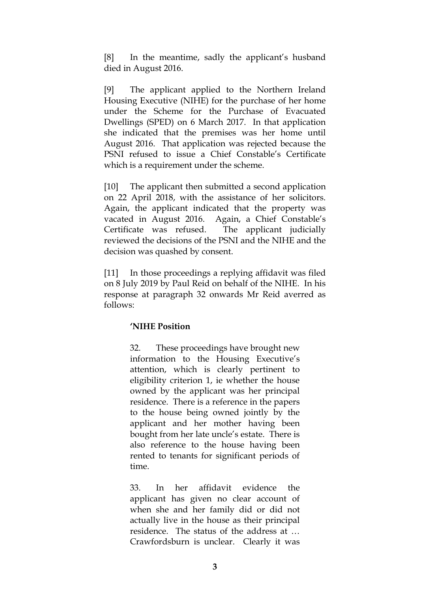[8] In the meantime, sadly the applicant's husband died in August 2016.

[9] The applicant applied to the Northern Ireland Housing Executive (NIHE) for the purchase of her home under the Scheme for the Purchase of Evacuated Dwellings (SPED) on 6 March 2017. In that application she indicated that the premises was her home until August 2016. That application was rejected because the PSNI refused to issue a Chief Constable's Certificate which is a requirement under the scheme.

[10] The applicant then submitted a second application on 22 April 2018, with the assistance of her solicitors. Again, the applicant indicated that the property was vacated in August 2016. Again, a Chief Constable's Certificate was refused. The applicant judicially reviewed the decisions of the PSNI and the NIHE and the decision was quashed by consent.

[11] In those proceedings a replying affidavit was filed on 8 July 2019 by Paul Reid on behalf of the NIHE. In his response at paragraph 32 onwards Mr Reid averred as follows:

#### **'NIHE Position**

32. These proceedings have brought new information to the Housing Executive's attention, which is clearly pertinent to eligibility criterion 1, ie whether the house owned by the applicant was her principal residence. There is a reference in the papers to the house being owned jointly by the applicant and her mother having been bought from her late uncle's estate. There is also reference to the house having been rented to tenants for significant periods of time.

33. In her affidavit evidence the applicant has given no clear account of when she and her family did or did not actually live in the house as their principal residence. The status of the address at … Crawfordsburn is unclear. Clearly it was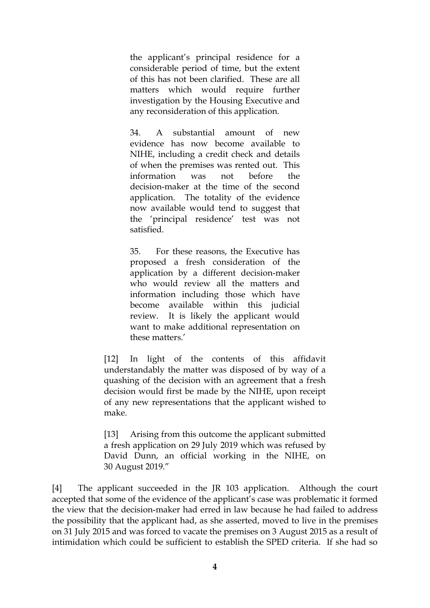the applicant's principal residence for a considerable period of time, but the extent of this has not been clarified. These are all matters which would require further investigation by the Housing Executive and any reconsideration of this application.

34. A substantial amount of new evidence has now become available to NIHE, including a credit check and details of when the premises was rented out. This information was not before the decision-maker at the time of the second application. The totality of the evidence now available would tend to suggest that the 'principal residence' test was not satisfied.

35. For these reasons, the Executive has proposed a fresh consideration of the application by a different decision-maker who would review all the matters and information including those which have become available within this judicial review. It is likely the applicant would want to make additional representation on these matters.'

[12] In light of the contents of this affidavit understandably the matter was disposed of by way of a quashing of the decision with an agreement that a fresh decision would first be made by the NIHE, upon receipt of any new representations that the applicant wished to make.

[13] Arising from this outcome the applicant submitted a fresh application on 29 July 2019 which was refused by David Dunn, an official working in the NIHE, on 30 August 2019."

[4] The applicant succeeded in the JR 103 application. Although the court accepted that some of the evidence of the applicant's case was problematic it formed the view that the decision-maker had erred in law because he had failed to address the possibility that the applicant had, as she asserted, moved to live in the premises on 31 July 2015 and was forced to vacate the premises on 3 August 2015 as a result of intimidation which could be sufficient to establish the SPED criteria. If she had so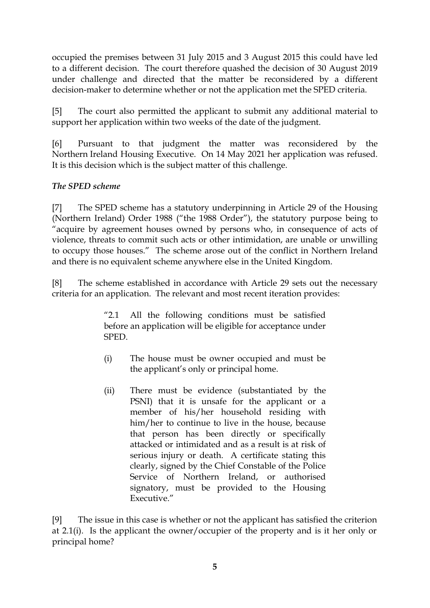occupied the premises between 31 July 2015 and 3 August 2015 this could have led to a different decision. The court therefore quashed the decision of 30 August 2019 under challenge and directed that the matter be reconsidered by a different decision-maker to determine whether or not the application met the SPED criteria.

[5] The court also permitted the applicant to submit any additional material to support her application within two weeks of the date of the judgment.

[6] Pursuant to that judgment the matter was reconsidered by the Northern Ireland Housing Executive. On 14 May 2021 her application was refused. It is this decision which is the subject matter of this challenge.

# *The SPED scheme*

[7] The SPED scheme has a statutory underpinning in Article 29 of the Housing (Northern Ireland) Order 1988 ("the 1988 Order"), the statutory purpose being to "acquire by agreement houses owned by persons who, in consequence of acts of violence, threats to commit such acts or other intimidation, are unable or unwilling to occupy those houses." The scheme arose out of the conflict in Northern Ireland and there is no equivalent scheme anywhere else in the United Kingdom.

[8] The scheme established in accordance with Article 29 sets out the necessary criteria for an application. The relevant and most recent iteration provides:

> "2.1 All the following conditions must be satisfied before an application will be eligible for acceptance under SPED.

- (i) The house must be owner occupied and must be the applicant's only or principal home.
- (ii) There must be evidence (substantiated by the PSNI) that it is unsafe for the applicant or a member of his/her household residing with him/her to continue to live in the house, because that person has been directly or specifically attacked or intimidated and as a result is at risk of serious injury or death. A certificate stating this clearly, signed by the Chief Constable of the Police Service of Northern Ireland, or authorised signatory, must be provided to the Housing Executive."

[9] The issue in this case is whether or not the applicant has satisfied the criterion at 2.1(i). Is the applicant the owner/occupier of the property and is it her only or principal home?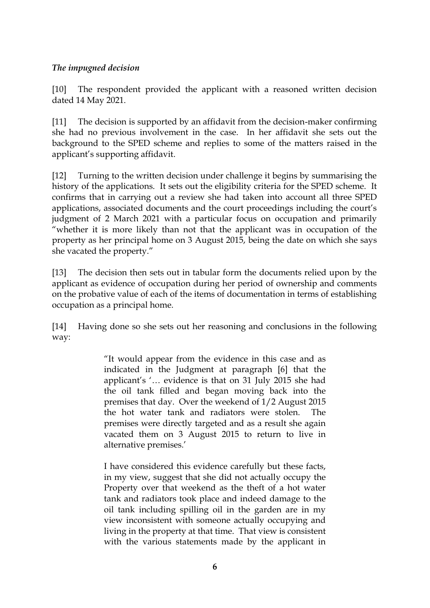## *The impugned decision*

[10] The respondent provided the applicant with a reasoned written decision dated 14 May 2021.

[11] The decision is supported by an affidavit from the decision-maker confirming she had no previous involvement in the case. In her affidavit she sets out the background to the SPED scheme and replies to some of the matters raised in the applicant's supporting affidavit.

[12] Turning to the written decision under challenge it begins by summarising the history of the applications. It sets out the eligibility criteria for the SPED scheme. It confirms that in carrying out a review she had taken into account all three SPED applications, associated documents and the court proceedings including the court's judgment of 2 March 2021 with a particular focus on occupation and primarily "whether it is more likely than not that the applicant was in occupation of the property as her principal home on 3 August 2015, being the date on which she says she vacated the property."

[13] The decision then sets out in tabular form the documents relied upon by the applicant as evidence of occupation during her period of ownership and comments on the probative value of each of the items of documentation in terms of establishing occupation as a principal home.

[14] Having done so she sets out her reasoning and conclusions in the following way:

> "It would appear from the evidence in this case and as indicated in the Judgment at paragraph [6] that the applicant's '… evidence is that on 31 July 2015 she had the oil tank filled and began moving back into the premises that day. Over the weekend of 1/2 August 2015 the hot water tank and radiators were stolen. The premises were directly targeted and as a result she again vacated them on 3 August 2015 to return to live in alternative premises.'

> I have considered this evidence carefully but these facts, in my view, suggest that she did not actually occupy the Property over that weekend as the theft of a hot water tank and radiators took place and indeed damage to the oil tank including spilling oil in the garden are in my view inconsistent with someone actually occupying and living in the property at that time. That view is consistent with the various statements made by the applicant in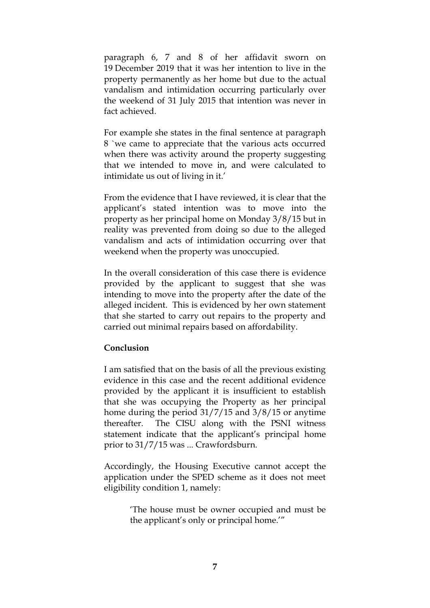paragraph 6, 7 and 8 of her affidavit sworn on 19 December 2019 that it was her intention to live in the property permanently as her home but due to the actual vandalism and intimidation occurring particularly over the weekend of 31 July 2015 that intention was never in fact achieved.

For example she states in the final sentence at paragraph 8 `we came to appreciate that the various acts occurred when there was activity around the property suggesting that we intended to move in, and were calculated to intimidate us out of living in it.'

From the evidence that I have reviewed, it is clear that the applicant's stated intention was to move into the property as her principal home on Monday 3/8/15 but in reality was prevented from doing so due to the alleged vandalism and acts of intimidation occurring over that weekend when the property was unoccupied.

In the overall consideration of this case there is evidence provided by the applicant to suggest that she was intending to move into the property after the date of the alleged incident. This is evidenced by her own statement that she started to carry out repairs to the property and carried out minimal repairs based on affordability.

#### **Conclusion**

I am satisfied that on the basis of all the previous existing evidence in this case and the recent additional evidence provided by the applicant it is insufficient to establish that she was occupying the Property as her principal home during the period 31/7/15 and 3/8/15 or anytime thereafter. The CISU along with the PSNI witness statement indicate that the applicant's principal home prior to 31/7/15 was ... Crawfordsburn.

Accordingly, the Housing Executive cannot accept the application under the SPED scheme as it does not meet eligibility condition 1, namely:

> 'The house must be owner occupied and must be the applicant's only or principal home.'"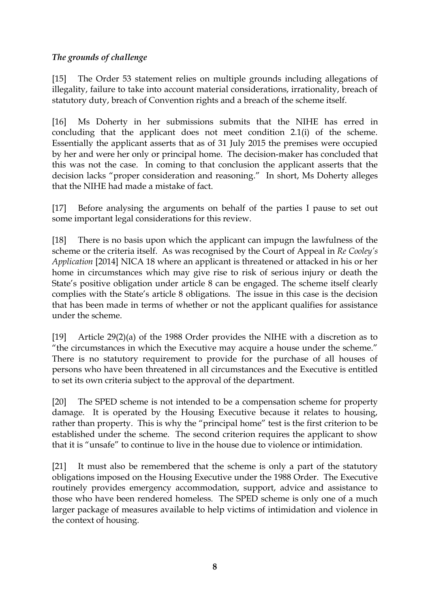# *The grounds of challenge*

[15] The Order 53 statement relies on multiple grounds including allegations of illegality, failure to take into account material considerations, irrationality, breach of statutory duty, breach of Convention rights and a breach of the scheme itself.

[16] Ms Doherty in her submissions submits that the NIHE has erred in concluding that the applicant does not meet condition 2.1(i) of the scheme. Essentially the applicant asserts that as of 31 July 2015 the premises were occupied by her and were her only or principal home. The decision-maker has concluded that this was not the case. In coming to that conclusion the applicant asserts that the decision lacks "proper consideration and reasoning." In short, Ms Doherty alleges that the NIHE had made a mistake of fact.

[17] Before analysing the arguments on behalf of the parties I pause to set out some important legal considerations for this review.

[18] There is no basis upon which the applicant can impugn the lawfulness of the scheme or the criteria itself. As was recognised by the Court of Appeal in *Re Cooley's Application* [2014] NICA 18 where an applicant is threatened or attacked in his or her home in circumstances which may give rise to risk of serious injury or death the State's positive obligation under article 8 can be engaged. The scheme itself clearly complies with the State's article 8 obligations. The issue in this case is the decision that has been made in terms of whether or not the applicant qualifies for assistance under the scheme.

[19] Article 29(2)(a) of the 1988 Order provides the NIHE with a discretion as to "the circumstances in which the Executive may acquire a house under the scheme." There is no statutory requirement to provide for the purchase of all houses of persons who have been threatened in all circumstances and the Executive is entitled to set its own criteria subject to the approval of the department.

[20] The SPED scheme is not intended to be a compensation scheme for property damage. It is operated by the Housing Executive because it relates to housing, rather than property. This is why the "principal home" test is the first criterion to be established under the scheme. The second criterion requires the applicant to show that it is "unsafe" to continue to live in the house due to violence or intimidation.

[21] It must also be remembered that the scheme is only a part of the statutory obligations imposed on the Housing Executive under the 1988 Order. The Executive routinely provides emergency accommodation, support, advice and assistance to those who have been rendered homeless. The SPED scheme is only one of a much larger package of measures available to help victims of intimidation and violence in the context of housing.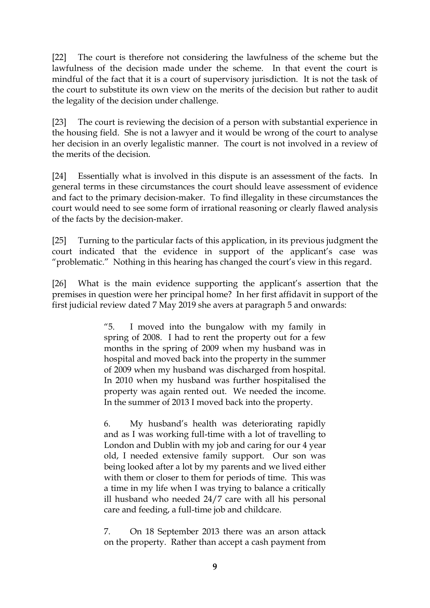[22] The court is therefore not considering the lawfulness of the scheme but the lawfulness of the decision made under the scheme. In that event the court is mindful of the fact that it is a court of supervisory jurisdiction. It is not the task of the court to substitute its own view on the merits of the decision but rather to audit the legality of the decision under challenge.

[23] The court is reviewing the decision of a person with substantial experience in the housing field. She is not a lawyer and it would be wrong of the court to analyse her decision in an overly legalistic manner. The court is not involved in a review of the merits of the decision.

[24] Essentially what is involved in this dispute is an assessment of the facts. In general terms in these circumstances the court should leave assessment of evidence and fact to the primary decision-maker. To find illegality in these circumstances the court would need to see some form of irrational reasoning or clearly flawed analysis of the facts by the decision-maker.

[25] Turning to the particular facts of this application, in its previous judgment the court indicated that the evidence in support of the applicant's case was "problematic." Nothing in this hearing has changed the court's view in this regard.

[26] What is the main evidence supporting the applicant's assertion that the premises in question were her principal home? In her first affidavit in support of the first judicial review dated 7 May 2019 she avers at paragraph 5 and onwards:

> "5. I moved into the bungalow with my family in spring of 2008. I had to rent the property out for a few months in the spring of 2009 when my husband was in hospital and moved back into the property in the summer of 2009 when my husband was discharged from hospital. In 2010 when my husband was further hospitalised the property was again rented out. We needed the income. In the summer of 2013 I moved back into the property.

> 6. My husband's health was deteriorating rapidly and as I was working full-time with a lot of travelling to London and Dublin with my job and caring for our 4 year old, I needed extensive family support. Our son was being looked after a lot by my parents and we lived either with them or closer to them for periods of time. This was a time in my life when I was trying to balance a critically ill husband who needed 24/7 care with all his personal care and feeding, a full-time job and childcare.

> 7. On 18 September 2013 there was an arson attack on the property. Rather than accept a cash payment from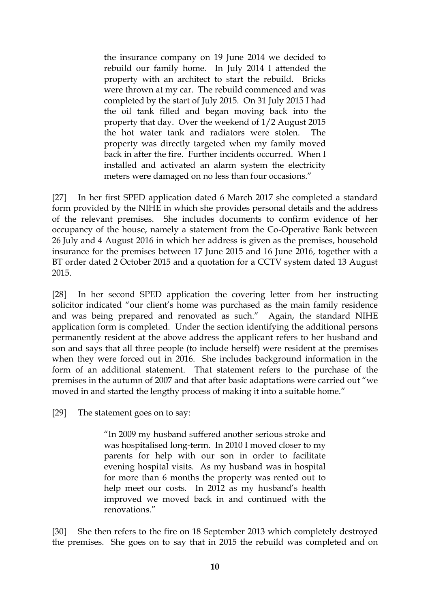the insurance company on 19 June 2014 we decided to rebuild our family home. In July 2014 I attended the property with an architect to start the rebuild. Bricks were thrown at my car. The rebuild commenced and was completed by the start of July 2015. On 31 July 2015 I had the oil tank filled and began moving back into the property that day. Over the weekend of 1/2 August 2015 the hot water tank and radiators were stolen. The property was directly targeted when my family moved back in after the fire. Further incidents occurred. When I installed and activated an alarm system the electricity meters were damaged on no less than four occasions."

[27] In her first SPED application dated 6 March 2017 she completed a standard form provided by the NIHE in which she provides personal details and the address of the relevant premises. She includes documents to confirm evidence of her occupancy of the house, namely a statement from the Co-Operative Bank between 26 July and 4 August 2016 in which her address is given as the premises, household insurance for the premises between 17 June 2015 and 16 June 2016, together with a BT order dated 2 October 2015 and a quotation for a CCTV system dated 13 August 2015.

[28] In her second SPED application the covering letter from her instructing solicitor indicated "our client's home was purchased as the main family residence and was being prepared and renovated as such." Again, the standard NIHE application form is completed. Under the section identifying the additional persons permanently resident at the above address the applicant refers to her husband and son and says that all three people (to include herself) were resident at the premises when they were forced out in 2016. She includes background information in the form of an additional statement. That statement refers to the purchase of the premises in the autumn of 2007 and that after basic adaptations were carried out "we moved in and started the lengthy process of making it into a suitable home."

[29] The statement goes on to say:

"In 2009 my husband suffered another serious stroke and was hospitalised long-term. In 2010 I moved closer to my parents for help with our son in order to facilitate evening hospital visits. As my husband was in hospital for more than 6 months the property was rented out to help meet our costs. In 2012 as my husband's health improved we moved back in and continued with the renovations."

[30] She then refers to the fire on 18 September 2013 which completely destroyed the premises. She goes on to say that in 2015 the rebuild was completed and on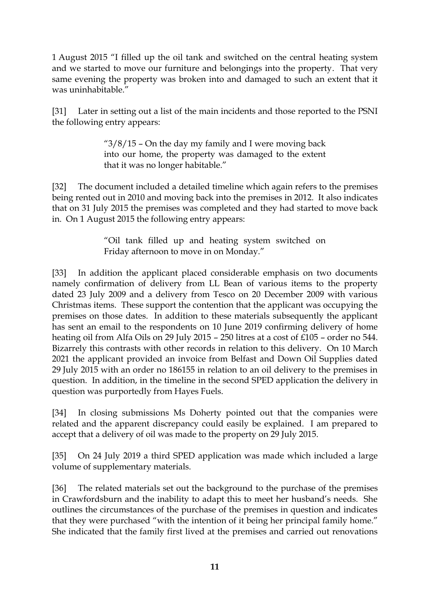1 August 2015 "I filled up the oil tank and switched on the central heating system and we started to move our furniture and belongings into the property. That very same evening the property was broken into and damaged to such an extent that it was uninhabitable."

[31] Later in setting out a list of the main incidents and those reported to the PSNI the following entry appears:

> " $3/8/15$  – On the day my family and I were moving back into our home, the property was damaged to the extent that it was no longer habitable."

[32] The document included a detailed timeline which again refers to the premises being rented out in 2010 and moving back into the premises in 2012. It also indicates that on 31 July 2015 the premises was completed and they had started to move back in. On 1 August 2015 the following entry appears:

> "Oil tank filled up and heating system switched on Friday afternoon to move in on Monday."

[33] In addition the applicant placed considerable emphasis on two documents namely confirmation of delivery from LL Bean of various items to the property dated 23 July 2009 and a delivery from Tesco on 20 December 2009 with various Christmas items. These support the contention that the applicant was occupying the premises on those dates. In addition to these materials subsequently the applicant has sent an email to the respondents on 10 June 2019 confirming delivery of home heating oil from Alfa Oils on 29 July 2015 – 250 litres at a cost of £105 – order no 544. Bizarrely this contrasts with other records in relation to this delivery. On 10 March 2021 the applicant provided an invoice from Belfast and Down Oil Supplies dated 29 July 2015 with an order no 186155 in relation to an oil delivery to the premises in question. In addition, in the timeline in the second SPED application the delivery in question was purportedly from Hayes Fuels.

[34] In closing submissions Ms Doherty pointed out that the companies were related and the apparent discrepancy could easily be explained. I am prepared to accept that a delivery of oil was made to the property on 29 July 2015.

[35] On 24 July 2019 a third SPED application was made which included a large volume of supplementary materials.

[36] The related materials set out the background to the purchase of the premises in Crawfordsburn and the inability to adapt this to meet her husband's needs. She outlines the circumstances of the purchase of the premises in question and indicates that they were purchased "with the intention of it being her principal family home." She indicated that the family first lived at the premises and carried out renovations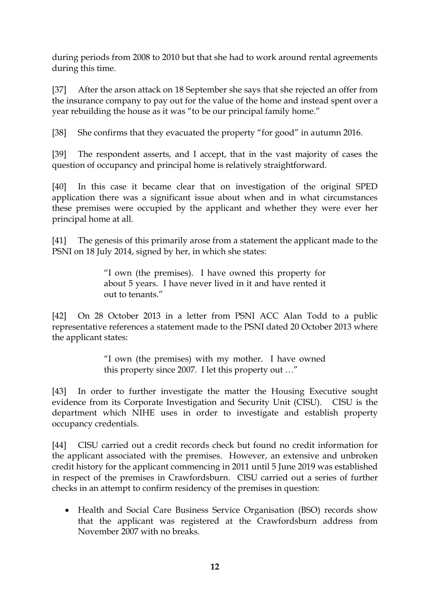during periods from 2008 to 2010 but that she had to work around rental agreements during this time.

[37] After the arson attack on 18 September she says that she rejected an offer from the insurance company to pay out for the value of the home and instead spent over a year rebuilding the house as it was "to be our principal family home."

[38] She confirms that they evacuated the property "for good" in autumn 2016.

[39] The respondent asserts, and I accept, that in the vast majority of cases the question of occupancy and principal home is relatively straightforward.

[40] In this case it became clear that on investigation of the original SPED application there was a significant issue about when and in what circumstances these premises were occupied by the applicant and whether they were ever her principal home at all.

[41] The genesis of this primarily arose from a statement the applicant made to the PSNI on 18 July 2014, signed by her, in which she states:

> "I own (the premises). I have owned this property for about 5 years. I have never lived in it and have rented it out to tenants."

[42] On 28 October 2013 in a letter from PSNI ACC Alan Todd to a public representative references a statement made to the PSNI dated 20 October 2013 where the applicant states:

> "I own (the premises) with my mother. I have owned this property since 2007. I let this property out …"

[43] In order to further investigate the matter the Housing Executive sought evidence from its Corporate Investigation and Security Unit (CISU). CISU is the department which NIHE uses in order to investigate and establish property occupancy credentials.

[44] CISU carried out a credit records check but found no credit information for the applicant associated with the premises. However, an extensive and unbroken credit history for the applicant commencing in 2011 until 5 June 2019 was established in respect of the premises in Crawfordsburn. CISU carried out a series of further checks in an attempt to confirm residency of the premises in question:

• Health and Social Care Business Service Organisation (BSO) records show that the applicant was registered at the Crawfordsburn address from November 2007 with no breaks.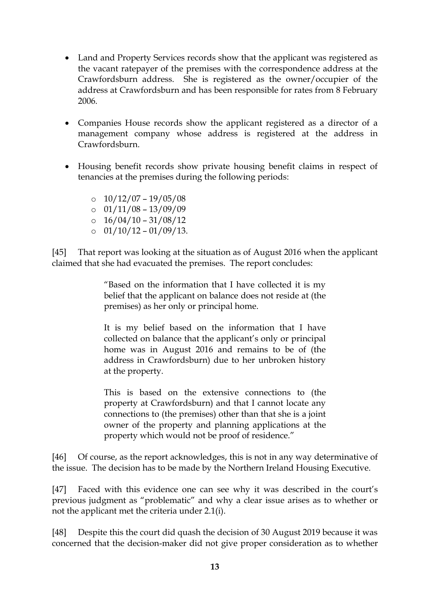- Land and Property Services records show that the applicant was registered as the vacant ratepayer of the premises with the correspondence address at the Crawfordsburn address. She is registered as the owner/occupier of the address at Crawfordsburn and has been responsible for rates from 8 February 2006.
- Companies House records show the applicant registered as a director of a management company whose address is registered at the address in Crawfordsburn.
- Housing benefit records show private housing benefit claims in respect of tenancies at the premises during the following periods:

 $\circ$  10/12/07 – 19/05/08

- $\circ$  01/11/08 13/09/09
- $\degree$  16/04/10 31/08/12
- $\circ$  01/10/12 01/09/13.

[45] That report was looking at the situation as of August 2016 when the applicant claimed that she had evacuated the premises. The report concludes:

> "Based on the information that I have collected it is my belief that the applicant on balance does not reside at (the premises) as her only or principal home.

> It is my belief based on the information that I have collected on balance that the applicant's only or principal home was in August 2016 and remains to be of (the address in Crawfordsburn) due to her unbroken history at the property.

> This is based on the extensive connections to (the property at Crawfordsburn) and that I cannot locate any connections to (the premises) other than that she is a joint owner of the property and planning applications at the property which would not be proof of residence."

[46] Of course, as the report acknowledges, this is not in any way determinative of the issue. The decision has to be made by the Northern Ireland Housing Executive.

[47] Faced with this evidence one can see why it was described in the court's previous judgment as "problematic" and why a clear issue arises as to whether or not the applicant met the criteria under 2.1(i).

[48] Despite this the court did quash the decision of 30 August 2019 because it was concerned that the decision-maker did not give proper consideration as to whether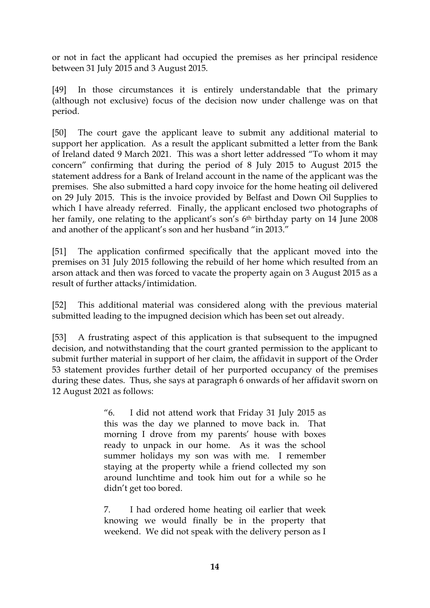or not in fact the applicant had occupied the premises as her principal residence between 31 July 2015 and 3 August 2015.

[49] In those circumstances it is entirely understandable that the primary (although not exclusive) focus of the decision now under challenge was on that period.

[50] The court gave the applicant leave to submit any additional material to support her application. As a result the applicant submitted a letter from the Bank of Ireland dated 9 March 2021. This was a short letter addressed "To whom it may concern" confirming that during the period of 8 July 2015 to August 2015 the statement address for a Bank of Ireland account in the name of the applicant was the premises. She also submitted a hard copy invoice for the home heating oil delivered on 29 July 2015. This is the invoice provided by Belfast and Down Oil Supplies to which I have already referred. Finally, the applicant enclosed two photographs of her family, one relating to the applicant's son's 6<sup>th</sup> birthday party on 14 June 2008 and another of the applicant's son and her husband "in 2013."

[51] The application confirmed specifically that the applicant moved into the premises on 31 July 2015 following the rebuild of her home which resulted from an arson attack and then was forced to vacate the property again on 3 August 2015 as a result of further attacks/intimidation.

[52] This additional material was considered along with the previous material submitted leading to the impugned decision which has been set out already.

[53] A frustrating aspect of this application is that subsequent to the impugned decision, and notwithstanding that the court granted permission to the applicant to submit further material in support of her claim, the affidavit in support of the Order 53 statement provides further detail of her purported occupancy of the premises during these dates. Thus, she says at paragraph 6 onwards of her affidavit sworn on 12 August 2021 as follows:

> "6. I did not attend work that Friday 31 July 2015 as this was the day we planned to move back in. That morning I drove from my parents' house with boxes ready to unpack in our home. As it was the school summer holidays my son was with me. I remember staying at the property while a friend collected my son around lunchtime and took him out for a while so he didn't get too bored.

> 7. I had ordered home heating oil earlier that week knowing we would finally be in the property that weekend. We did not speak with the delivery person as I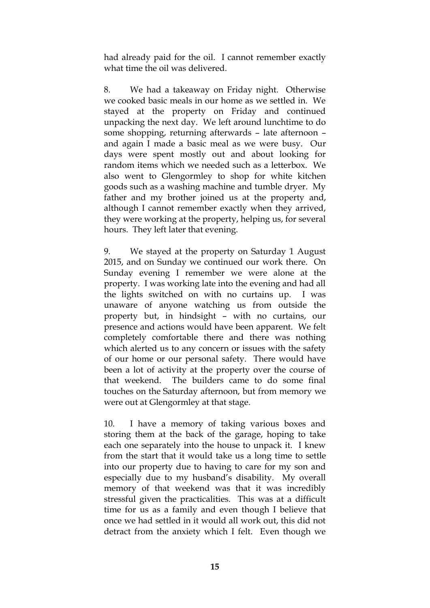had already paid for the oil. I cannot remember exactly what time the oil was delivered.

8. We had a takeaway on Friday night. Otherwise we cooked basic meals in our home as we settled in. We stayed at the property on Friday and continued unpacking the next day. We left around lunchtime to do some shopping, returning afterwards – late afternoon – and again I made a basic meal as we were busy. Our days were spent mostly out and about looking for random items which we needed such as a letterbox. We also went to Glengormley to shop for white kitchen goods such as a washing machine and tumble dryer. My father and my brother joined us at the property and, although I cannot remember exactly when they arrived, they were working at the property, helping us, for several hours. They left later that evening.

9. We stayed at the property on Saturday 1 August 2015, and on Sunday we continued our work there. On Sunday evening I remember we were alone at the property. I was working late into the evening and had all the lights switched on with no curtains up. I was unaware of anyone watching us from outside the property but, in hindsight – with no curtains, our presence and actions would have been apparent. We felt completely comfortable there and there was nothing which alerted us to any concern or issues with the safety of our home or our personal safety. There would have been a lot of activity at the property over the course of that weekend. The builders came to do some final touches on the Saturday afternoon, but from memory we were out at Glengormley at that stage.

10. I have a memory of taking various boxes and storing them at the back of the garage, hoping to take each one separately into the house to unpack it. I knew from the start that it would take us a long time to settle into our property due to having to care for my son and especially due to my husband's disability. My overall memory of that weekend was that it was incredibly stressful given the practicalities. This was at a difficult time for us as a family and even though I believe that once we had settled in it would all work out, this did not detract from the anxiety which I felt. Even though we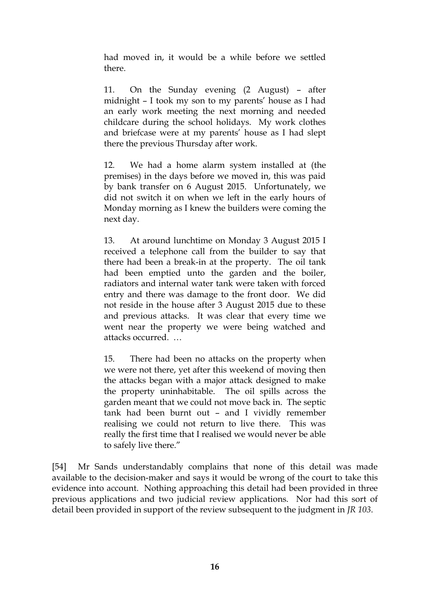had moved in, it would be a while before we settled there.

11. On the Sunday evening (2 August) – after midnight – I took my son to my parents' house as I had an early work meeting the next morning and needed childcare during the school holidays. My work clothes and briefcase were at my parents' house as I had slept there the previous Thursday after work.

12. We had a home alarm system installed at (the premises) in the days before we moved in, this was paid by bank transfer on 6 August 2015. Unfortunately, we did not switch it on when we left in the early hours of Monday morning as I knew the builders were coming the next day.

13. At around lunchtime on Monday 3 August 2015 I received a telephone call from the builder to say that there had been a break-in at the property. The oil tank had been emptied unto the garden and the boiler, radiators and internal water tank were taken with forced entry and there was damage to the front door. We did not reside in the house after 3 August 2015 due to these and previous attacks. It was clear that every time we went near the property we were being watched and attacks occurred. …

15. There had been no attacks on the property when we were not there, yet after this weekend of moving then the attacks began with a major attack designed to make the property uninhabitable. The oil spills across the garden meant that we could not move back in. The septic tank had been burnt out – and I vividly remember realising we could not return to live there. This was really the first time that I realised we would never be able to safely live there."

[54] Mr Sands understandably complains that none of this detail was made available to the decision-maker and says it would be wrong of the court to take this evidence into account. Nothing approaching this detail had been provided in three previous applications and two judicial review applications. Nor had this sort of detail been provided in support of the review subsequent to the judgment in *JR 103*.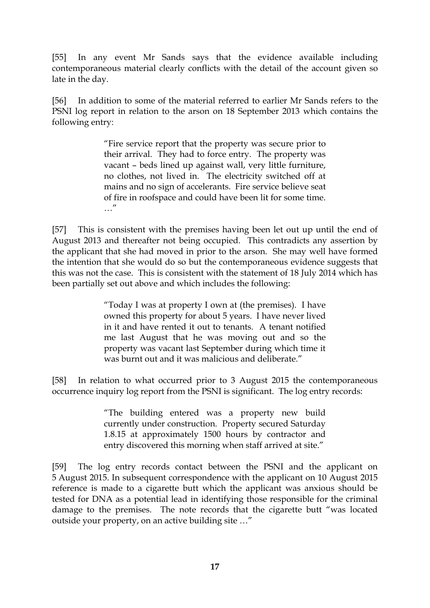[55] In any event Mr Sands says that the evidence available including contemporaneous material clearly conflicts with the detail of the account given so late in the day.

[56] In addition to some of the material referred to earlier Mr Sands refers to the PSNI log report in relation to the arson on 18 September 2013 which contains the following entry:

> "Fire service report that the property was secure prior to their arrival. They had to force entry. The property was vacant – beds lined up against wall, very little furniture, no clothes, not lived in. The electricity switched off at mains and no sign of accelerants. Fire service believe seat of fire in roofspace and could have been lit for some time. …"

[57] This is consistent with the premises having been let out up until the end of August 2013 and thereafter not being occupied. This contradicts any assertion by the applicant that she had moved in prior to the arson. She may well have formed the intention that she would do so but the contemporaneous evidence suggests that this was not the case. This is consistent with the statement of 18 July 2014 which has been partially set out above and which includes the following:

> "Today I was at property I own at (the premises). I have owned this property for about 5 years. I have never lived in it and have rented it out to tenants. A tenant notified me last August that he was moving out and so the property was vacant last September during which time it was burnt out and it was malicious and deliberate."

[58] In relation to what occurred prior to 3 August 2015 the contemporaneous occurrence inquiry log report from the PSNI is significant. The log entry records:

> "The building entered was a property new build currently under construction. Property secured Saturday 1.8.15 at approximately 1500 hours by contractor and entry discovered this morning when staff arrived at site."

[59] The log entry records contact between the PSNI and the applicant on 5 August 2015. In subsequent correspondence with the applicant on 10 August 2015 reference is made to a cigarette butt which the applicant was anxious should be tested for DNA as a potential lead in identifying those responsible for the criminal damage to the premises. The note records that the cigarette butt "was located outside your property, on an active building site …"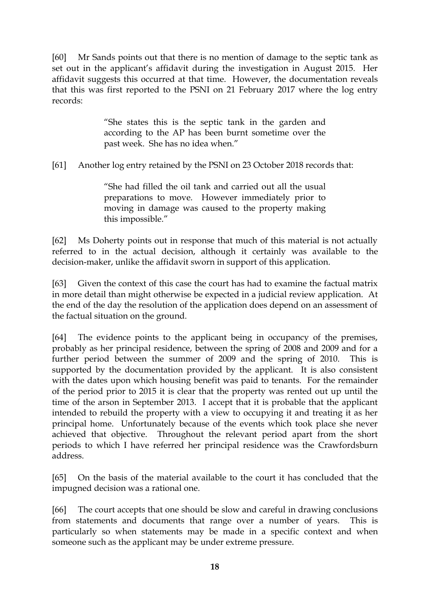[60] Mr Sands points out that there is no mention of damage to the septic tank as set out in the applicant's affidavit during the investigation in August 2015. Her affidavit suggests this occurred at that time. However, the documentation reveals that this was first reported to the PSNI on 21 February 2017 where the log entry records:

> "She states this is the septic tank in the garden and according to the AP has been burnt sometime over the past week. She has no idea when."

[61] Another log entry retained by the PSNI on 23 October 2018 records that:

"She had filled the oil tank and carried out all the usual preparations to move. However immediately prior to moving in damage was caused to the property making this impossible."

[62] Ms Doherty points out in response that much of this material is not actually referred to in the actual decision, although it certainly was available to the decision-maker, unlike the affidavit sworn in support of this application.

[63] Given the context of this case the court has had to examine the factual matrix in more detail than might otherwise be expected in a judicial review application. At the end of the day the resolution of the application does depend on an assessment of the factual situation on the ground.

[64] The evidence points to the applicant being in occupancy of the premises, probably as her principal residence, between the spring of 2008 and 2009 and for a further period between the summer of 2009 and the spring of 2010. This is supported by the documentation provided by the applicant. It is also consistent with the dates upon which housing benefit was paid to tenants. For the remainder of the period prior to 2015 it is clear that the property was rented out up until the time of the arson in September 2013. I accept that it is probable that the applicant intended to rebuild the property with a view to occupying it and treating it as her principal home. Unfortunately because of the events which took place she never achieved that objective. Throughout the relevant period apart from the short periods to which I have referred her principal residence was the Crawfordsburn address.

[65] On the basis of the material available to the court it has concluded that the impugned decision was a rational one.

[66] The court accepts that one should be slow and careful in drawing conclusions from statements and documents that range over a number of years. This is particularly so when statements may be made in a specific context and when someone such as the applicant may be under extreme pressure.